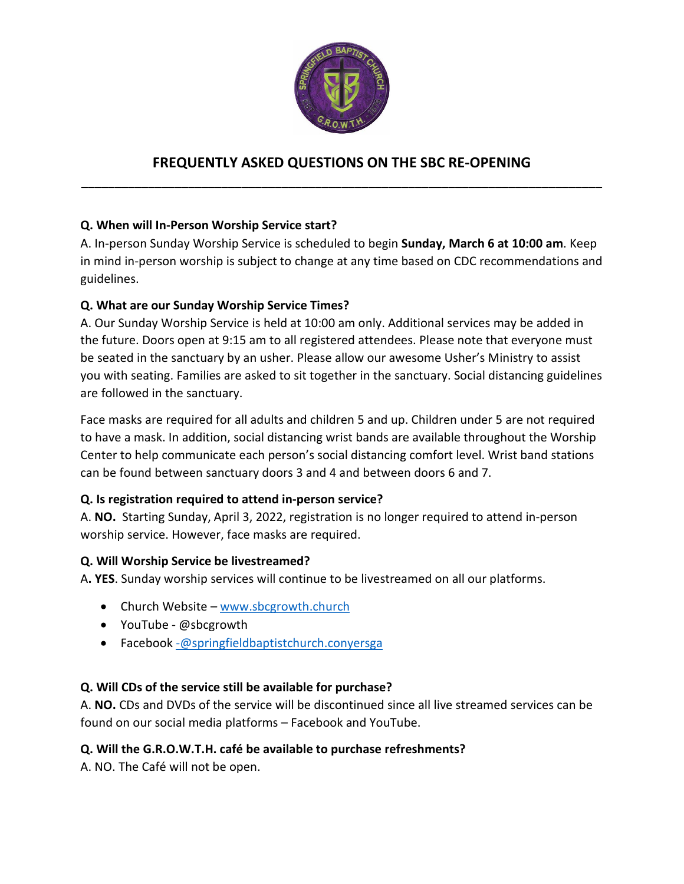

# **FREQUENTLY ASKED QUESTIONS ON THE SBC RE-OPENING \_\_\_\_\_\_\_\_\_\_\_\_\_\_\_\_\_\_\_\_\_\_\_\_\_\_\_\_\_\_\_\_\_\_\_\_\_\_\_\_\_\_\_\_\_\_\_\_\_\_\_\_\_\_\_\_\_\_\_\_\_\_\_\_\_\_\_\_\_\_\_\_\_\_\_\_\_\_**

# **Q. When will In-Person Worship Service start?**

A. In-person Sunday Worship Service is scheduled to begin **Sunday, March 6 at 10:00 am**. Keep in mind in-person worship is subject to change at any time based on CDC recommendations and guidelines.

#### **Q. What are our Sunday Worship Service Times?**

A. Our Sunday Worship Service is held at 10:00 am only. Additional services may be added in the future. Doors open at 9:15 am to all registered attendees. Please note that everyone must be seated in the sanctuary by an usher. Please allow our awesome Usher's Ministry to assist you with seating. Families are asked to sit together in the sanctuary. Social distancing guidelines are followed in the sanctuary.

Face masks are required for all adults and children 5 and up. Children under 5 are not required to have a mask. In addition, social distancing wrist bands are available throughout the Worship Center to help communicate each person's social distancing comfort level. Wrist band stations can be found between sanctuary doors 3 and 4 and between doors 6 and 7.

# **Q. Is registration required to attend in-person service?**

A. **NO.** Starting Sunday, April 3, 2022, registration is no longer required to attend in-person worship service. However, face masks are required.

#### **Q. Will Worship Service be livestreamed?**

A**. YES**. Sunday worship services will continue to be livestreamed on all our platforms.

- Church Website – [www.sbcgrowth.church](http://www.sbcgrowth.church/)
- YouTube @sbcgrowth
- Facebook [-@springfieldbaptistchurch.conyersga](mailto:-@springfieldbaptistchurch.conyersga)

#### **Q. Will CDs of the service still be available for purchase?**

A. **NO.** CDs and DVDs of the service will be discontinued since all live streamed services can be found on our social media platforms – Facebook and YouTube.

#### **Q. Will the G.R.O.W.T.H. café be available to purchase refreshments?**

A. NO. The Café will not be open.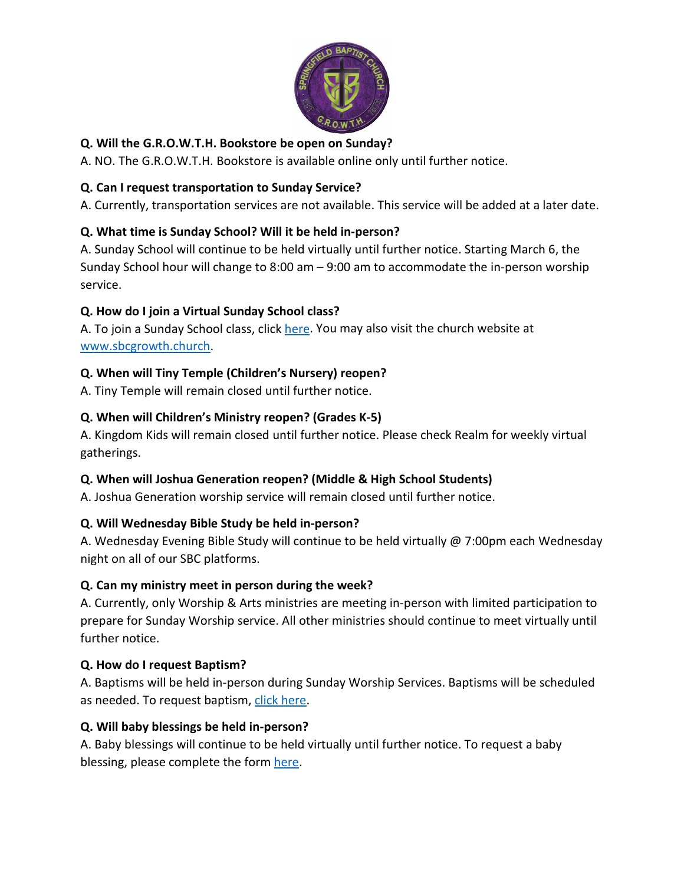

# **Q. Will the G.R.O.W.T.H. Bookstore be open on Sunday?**

A. NO. The G.R.O.W.T.H. Bookstore is available online only until further notice.

### **Q. Can I request transportation to Sunday Service?**

A. Currently, transportation services are not available. This service will be added at a later date.

### **Q. What time is Sunday School? Will it be held in-person?**

A. Sunday School will continue to be held virtually until further notice. Starting March 6, the Sunday School hour will change to 8:00 am – 9:00 am to accommodate the in-person worship service.

### **Q. How do I join a Virtual Sunday School class?**

A. To join a Sunday School class, click [here.](https://sbcgrowth.church/images/Virtual-Sunday-School-Information-2_1_compressed.pdf) You may also visit the church website at [www.sbcgrowth.church.](http://www.sbcgrowth.church/)

# **Q. When will Tiny Temple (Children's Nursery) reopen?**

A. Tiny Temple will remain closed until further notice.

### **Q. When will Children's Ministry reopen? (Grades K-5)**

A. Kingdom Kids will remain closed until further notice. Please check Realm for weekly virtual gatherings.

# **Q. When will Joshua Generation reopen? (Middle & High School Students)**

A. Joshua Generation worship service will remain closed until further notice.

# **Q. Will Wednesday Bible Study be held in-person?**

A. Wednesday Evening Bible Study will continue to be held virtually @ 7:00pm each Wednesday night on all of our SBC platforms.

#### **Q. Can my ministry meet in person during the week?**

A. Currently, only Worship & Arts ministries are meeting in-person with limited participation to prepare for Sunday Worship service. All other ministries should continue to meet virtually until further notice.

#### **Q. How do I request Baptism?**

A. Baptisms will be held in-person during Sunday Worship Services. Baptisms will be scheduled as needed. To request baptism, [click here.](https://sbclive.wufoo.com/forms/m1ijk7w70sp16tk/)

#### **Q. Will baby blessings be held in-person?**

A. Baby blessings will continue to be held virtually until further notice. To request a baby blessing, please complete the form [here.](https://sbclive.wufoo.com/forms/q1e4uj8s0p8vdiw/)